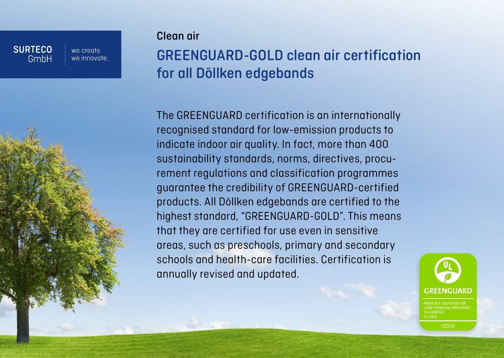#### **SURTECO** GmhH

we create

we innovate

### Clean air

# GREENGUARD-GOLD clean air certification for all Döllken edgebands

The GREENGUARD certification is an internationally recognised standard for low-emission products to indicate indoor air quality. In fact, more than 400 sustainability standards, norms, directives, procurement regulations and classification programmes guarantee the credibility of GREENGUARD-certified products. All Döllken edgebands are certified to the highest standard, "GREENGUARD-GOLD". This means that they are certified for use even in sensitive areas, such as preschools, primary and secondary schools and health-care facilities. Certification is annually revised and updated.

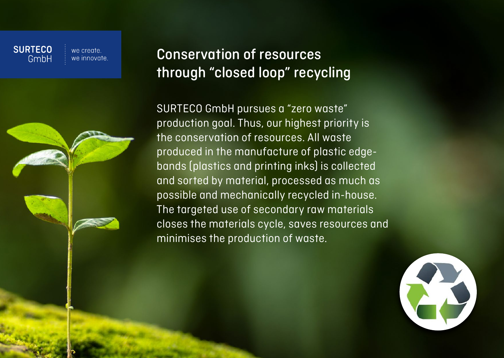#### **SURTECO** GmhH

we create we innovate

### Conservation of resources through "closed loop" recycling

SURTECO GmbH pursues a "zero waste" production goal. Thus, our highest priority is the conservation of resources. All waste produced in the manufacture of plastic edgebands (plastics and printing inks) is collected and sorted by material, processed as much as possible and mechanically recycled in-house. The targeted use of secondary raw materials closes the materials cycle, saves resources and minimises the production of waste.

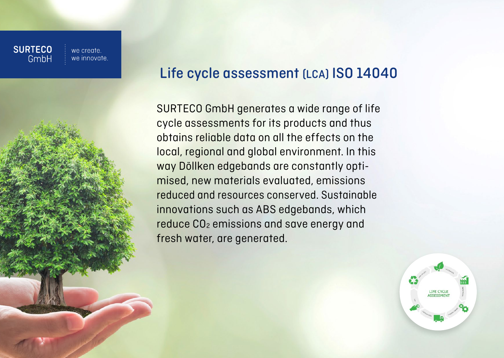



SURTECO GmbH generates a wide range of life cycle assessments for its products and thus obtains reliable data on all the effects on the local, regional and global environment. In this way Döllken edgebands are constantly optimised, new materials evaluated, emissions reduced and resources conserved. Sustainable innovations such as ABS edgebands, which reduce CO2 emissions and save energy and fresh water, are generated.